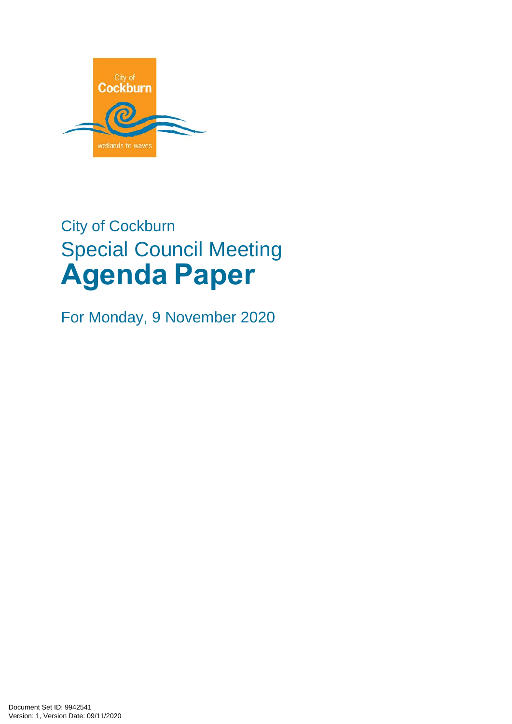

# City of Cockburn Special Council Meeting **Agenda Paper**

For Monday, 9 November 2020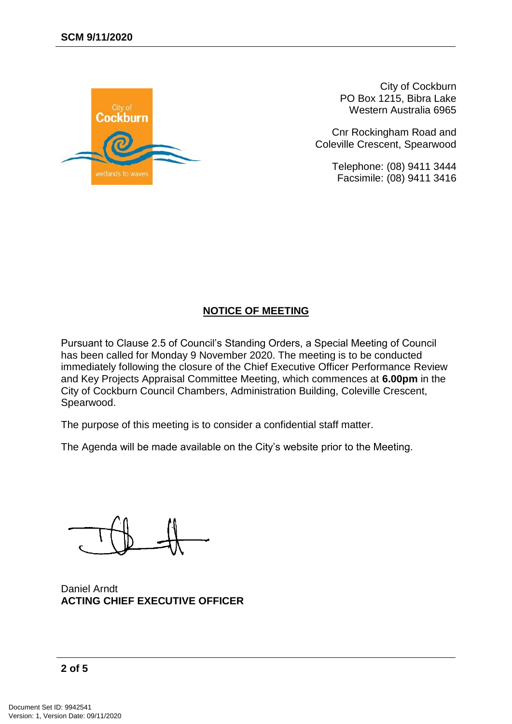

City of Cockburn PO Box 1215, Bibra Lake Western Australia 6965

Cnr Rockingham Road and Coleville Crescent, Spearwood

> Telephone: (08) 9411 3444 Facsimile: (08) 9411 3416

#### **NOTICE OF MEETING**

Pursuant to Clause 2.5 of Council's Standing Orders, a Special Meeting of Council has been called for Monday 9 November 2020. The meeting is to be conducted immediately following the closure of the Chief Executive Officer Performance Review and Key Projects Appraisal Committee Meeting, which commences at **6.00pm** in the City of Cockburn Council Chambers, Administration Building, Coleville Crescent, Spearwood.

The purpose of this meeting is to consider a confidential staff matter.

The Agenda will be made available on the City's website prior to the Meeting.

Daniel Arndt **ACTING CHIEF EXECUTIVE OFFICER**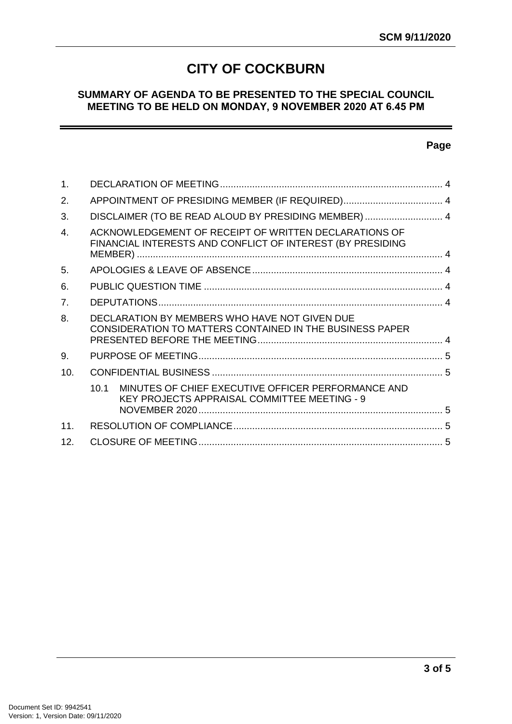# **CITY OF COCKBURN**

#### **SUMMARY OF AGENDA TO BE PRESENTED TO THE SPECIAL COUNCIL MEETING TO BE HELD ON MONDAY, 9 NOVEMBER 2020 AT 6.45 PM**

#### **Page**

| 1.               |                                                                                                                     |  |
|------------------|---------------------------------------------------------------------------------------------------------------------|--|
| 2.               |                                                                                                                     |  |
| 3.               | DISCLAIMER (TO BE READ ALOUD BY PRESIDING MEMBER)  4                                                                |  |
| $\overline{4}$ . | ACKNOWLEDGEMENT OF RECEIPT OF WRITTEN DECLARATIONS OF<br>FINANCIAL INTERESTS AND CONFLICT OF INTEREST (BY PRESIDING |  |
| 5.               |                                                                                                                     |  |
| 6.               |                                                                                                                     |  |
| 7.               |                                                                                                                     |  |
| 8.               | DECLARATION BY MEMBERS WHO HAVE NOT GIVEN DUE<br><b>CONSIDERATION TO MATTERS CONTAINED IN THE BUSINESS PAPER</b>    |  |
| 9.               |                                                                                                                     |  |
| 10.              |                                                                                                                     |  |
|                  | MINUTES OF CHIEF EXECUTIVE OFFICER PERFORMANCE AND<br>10.1<br><b>KEY PROJECTS APPRAISAL COMMITTEE MEETING - 9</b>   |  |
| 11 <sub>1</sub>  |                                                                                                                     |  |
| 12 <sub>1</sub>  |                                                                                                                     |  |
|                  |                                                                                                                     |  |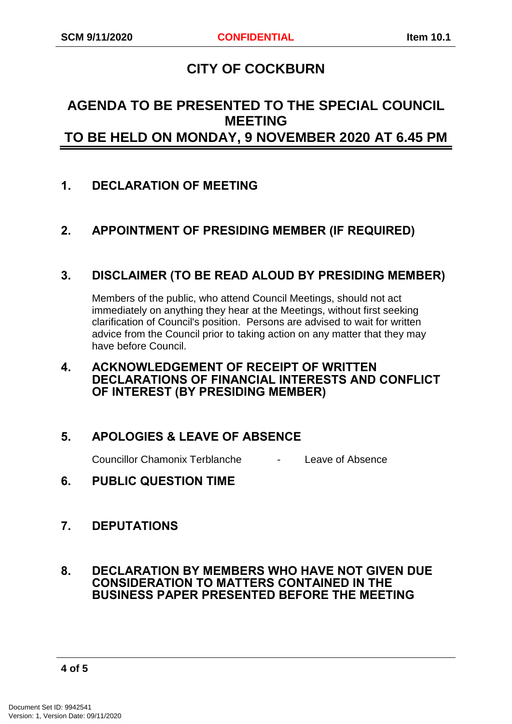# **CITY OF COCKBURN**

# **AGENDA TO BE PRESENTED TO THE SPECIAL COUNCIL MEETING TO BE HELD ON MONDAY, 9 NOVEMBER 2020 AT 6.45 PM**

# <span id="page-3-0"></span>**1. DECLARATION OF MEETING**

# <span id="page-3-1"></span>**2. APPOINTMENT OF PRESIDING MEMBER (IF REQUIRED)**

## <span id="page-3-2"></span>**3. DISCLAIMER (TO BE READ ALOUD BY PRESIDING MEMBER)**

Members of the public, who attend Council Meetings, should not act immediately on anything they hear at the Meetings, without first seeking clarification of Council's position. Persons are advised to wait for written advice from the Council prior to taking action on any matter that they may have before Council.

#### <span id="page-3-3"></span>**4. ACKNOWLEDGEMENT OF RECEIPT OF WRITTEN DECLARATIONS OF FINANCIAL INTERESTS AND CONFLICT OF INTEREST (BY PRESIDING MEMBER)**

# <span id="page-3-4"></span>**5. APOLOGIES & LEAVE OF ABSENCE**

Councillor Chamonix Terblanche - Leave of Absence

<span id="page-3-5"></span>**6. PUBLIC QUESTION TIME**

## <span id="page-3-6"></span>**7. DEPUTATIONS**

#### <span id="page-3-7"></span>**8. DECLARATION BY MEMBERS WHO HAVE NOT GIVEN DUE CONSIDERATION TO MATTERS CONTAINED IN THE BUSINESS PAPER PRESENTED BEFORE THE MEETING**